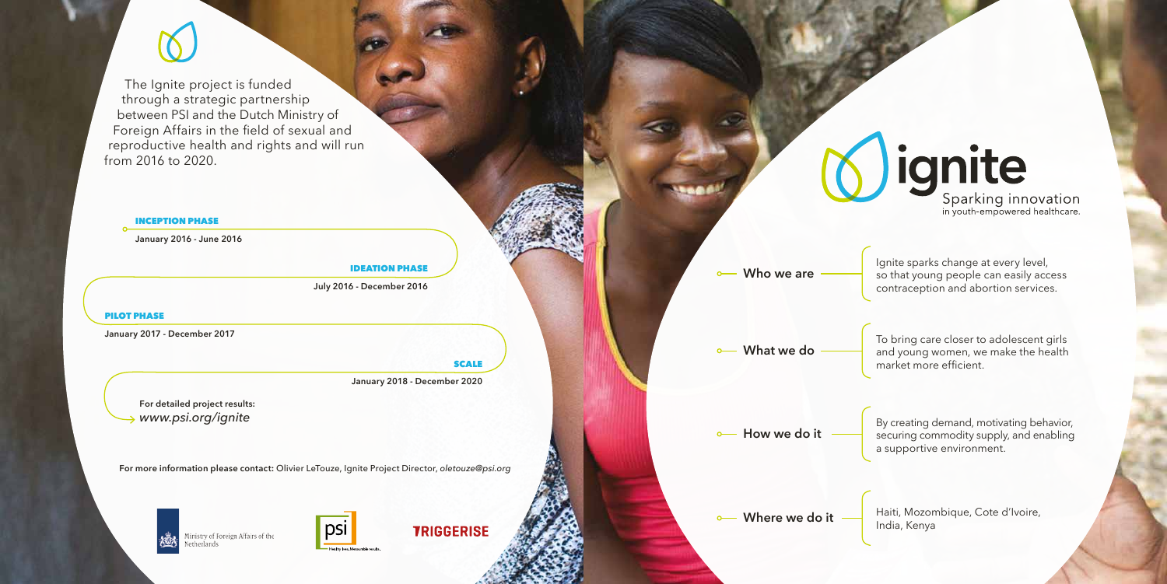**For more information please contact:** Olivier LeTouze, Ignite Project Director, *oletouze@psi.org*

Ministry of Foreign Affairs of the Netherlands



**TRIGGERISE** 

#### INCEPTION PHASE

**January 2016 - June 2016**

#### PILOT PHASE

**January 2017 - December 2017**

#### **SCALE**

#### IDEATION PHASE

**July 2016 - December 2016**

**January 2018 - December 2020**

**For detailed project results:**  *www.psi.org/ignite* 

The Ignite project is funded through a strategic partnership between PSI and the Dutch Ministry of Foreign Affairs in the field of sexual and reproductive health and rights and will run from 2016 to 2020.

> Ignite sparks change at every level, so that young people can easily access contraception and abortion services.

To bring care closer to adolescent girls and young women, we make the health market more efficient.

By creating demand, motivating behavior, securing commodity supply, and enabling a supportive environment.



Haiti, Mozombique, Cote d'Ivoire, India, Kenya

**Who we are**

**How we do it**

**What we do**

**Where we do it**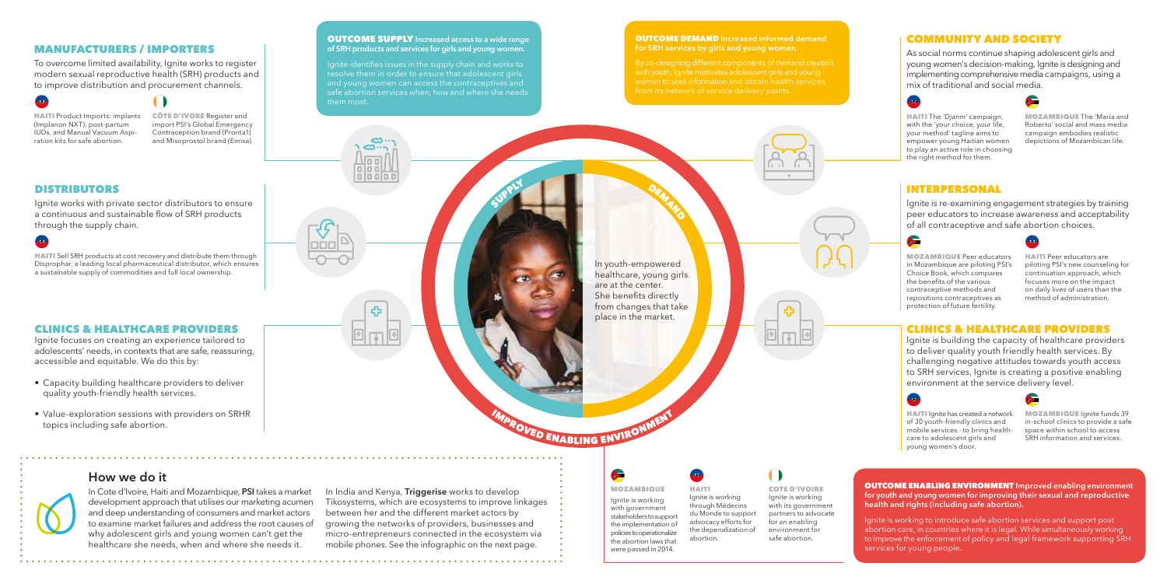#### MANUFACTURERS / IMPORTERS

To overcome limited availability, Ignite works to register modern sexual reproductive health (SRH) products and to improve distribution and procurement channels.

HAITI Product Imports: implants (Implanon NXT), post-partum IUDs, and Manual Vacuum Aspiration kits for safe abortion.

CÔTE D'IVORE Register and import PSI's Global Emergency Contraception brand (Pronta1) and Misoprostol brand (Emisa).

#### COMMUNITY AND SOCIETY

As social norms continue shaping adolescent girls and young women's decision-making, Ignite is designing and implementing comprehensive media campaigns, using a mix of traditional and social media.



**Co** MOZAMBIQUE

VED ENABLING ENVIRON

HAITI The *'Djanm'* campaign, with the 'your choice, your life, your method' tagline aims to empower young Haitian women to play an active role in choosing the right method for them.



MOZAMBIQUE The 'Maria and Roberto' social and mass media campaign embodies realistic depictions of Mozambican life.

In youth-empowered healthcare, young girls are at the center. She benefits directly from changes that take place in the market.

DEMAND

Ignite focuses on creating an experience tailored to adolescents' needs, in contexts that are safe, reassuring, accessible and equitable. We do this by:

> Ignite is working with government stakeholders to support the implementation of policies to operationalize the abortion laws that were passed in 2014. Ignite is working through Médecins du Monde to support advocacy efforts for the depenalization of abortion.

HAITI

COTE D'IVOIRE Ignite is working with its government partners to advocate for an enabling environment for

safe abortion.

#### OUTCOME DEMAND **Increased informed demand for SRH services by girls and young women.**

#### OUTCOME SUPPLY **Increased access to a wide range of SRH products and services for girls and young women.**

**HAITI** Ignite has created a network of 30 youth-friendly clinics and mobile services - to bring healthcare to adolescent girls and young women's door.



MOZAMBIQUE lanite funds 39 in-school clinics to provide a safe space within school to access SRH information and services.

Ignite identifies issues in the supply chain and works to resolve them in order to ensure that adolescent girls and young women can access the contraceptives and safe abortion services when, how and where she needs them most.

> a la al ili ili

> > ሩን

SUPPLY

#### CLINICS & HEALTHCARE PROVIDERS

- Capacity building healthcare providers to deliver quality youth-friendly health services.
- Value-exploration sessions with providers on SRHR topics including safe abortion.

#### DISTRIBUTORS

Ignite works with private sector distributors to ensure a continuous and sustainable flow of SRH products through the supply chain.

HAITI Sell SRH products at cost recovery and distribute them through Disprophar, a leading local pharmaceutical distributor, which ensures a sustainable supply of commodities and full local ownership.

#### INTERPERSONAL

Ignite is re-examining engagement strategies by training peer educators to increase awareness and acceptability of all contraceptive and safe abortion choices.



MOZAMBIQUE Peer educators in Mozambique are piloting PSI's Choice Book, which compares the benefits of the various contraceptive methods and repositions contraceptives as protection of future fertility.



HAITI Peer educators are piloting PSI's new counseling for continuation approach, which focuses more on the impact on daily lives of users than the method of administration.

#### CLINICS & HEALTHCARE PROVIDERS

Ignite is building the capacity of healthcare providers to deliver quality youth friendly health services. By challenging negative attitudes towards youth access to SRH services, Ignite is creating a positive enabling environment at the service delivery level.





#### **How we do it**

In Cote d'Ivoire, Haiti and Mozambique, **PSI** takes a market development approach that utilises our marketing acumen and deep understanding of consumers and market actors to examine market failures and address the root causes of why adolescent girls and young women can't get the healthcare she needs, when and where she needs it.

In India and Kenya, **Triggerise** works to develop Tikosystems, which are ecosystems to improve linkages between her and the different market actors by growing the networks of providers, businesses and micro-entrepreneurs connected in the ecosystem via mobile phones. See the infographic on the next page.

OUTCOME ENABLING ENVIRONMENT **Improved enabling environment for youth and young women for improving their sexual and reproductive health and rights (including safe abortion).**

Ignite is working to introduce safe abortion services and support post abortion care, in countries where it is legal. While simultaneously working to improve the enforcement of policy and legal framework supporting SRH services for young people.